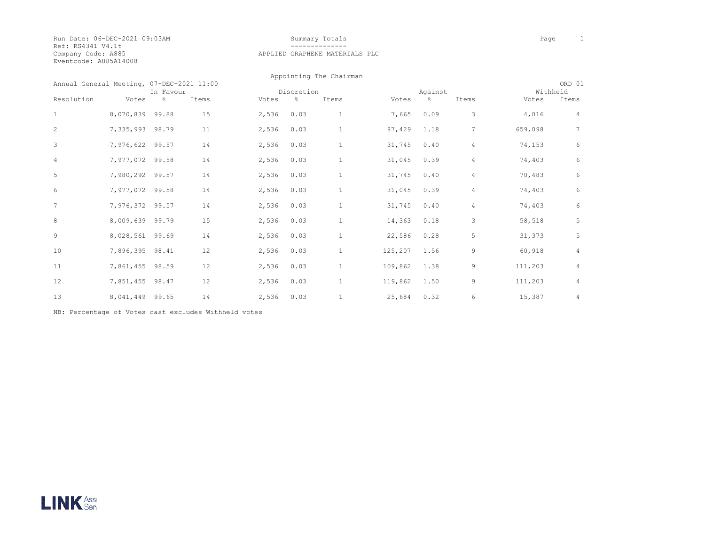Run Date: 06-DEC-2021 09:03AM Summary Totals Page 1 Ref: RS4341 V4.1t<br>Company Code: A885 Eventcode: A885A14008

# Company Code: A885 APPLIED GRAPHENE MATERIALS PLC

|                                           |                 |           |       |            |      | Appointing The Chairman |         |         |                |         |                    |  |
|-------------------------------------------|-----------------|-----------|-------|------------|------|-------------------------|---------|---------|----------------|---------|--------------------|--|
| Annual General Meeting, 07-DEC-2021 11:00 |                 | In Favour |       | Discretion |      |                         |         | Against |                |         | ORD 01<br>Withheld |  |
| Resolution                                | Votes           | $\%$      | Items | Votes      | g.   | Items                   | Votes   | &       | Items          | Votes   | Items              |  |
| $\mathbf 1$                               | 8,070,839 99.88 |           | 15    | 2,536      | 0.03 | 1                       | 7,665   | 0.09    | 3              | 4,016   | 4                  |  |
| 2                                         | 7,335,993 98.79 |           | 11    | 2,536      | 0.03 | $\mathbf{1}$            | 87,429  | 1.18    | 7              | 659,098 | 7                  |  |
| 3                                         | 7,976,622 99.57 |           | 14    | 2,536      | 0.03 | $\mathbf{1}$            | 31,745  | 0.40    | 4              | 74,153  | 6                  |  |
| $\overline{4}$                            | 7,977,072 99.58 |           | 14    | 2,536      | 0.03 | $\mathbf{1}$            | 31,045  | 0.39    | 4              | 74,403  | 6                  |  |
| 5                                         | 7,980,292 99.57 |           | 14    | 2,536      | 0.03 | $1\,$                   | 31,745  | 0.40    | $\overline{4}$ | 70,483  | 6                  |  |
| 6                                         | 7,977,072 99.58 |           | 14    | 2,536      | 0.03 | $1\,$                   | 31,045  | 0.39    | 4              | 74,403  | 6                  |  |
| 7                                         | 7,976,372 99.57 |           | 14    | 2,536      | 0.03 | $\mathbf{1}$            | 31,745  | 0.40    | 4              | 74,403  | 6                  |  |
| 8                                         | 8,009,639 99.79 |           | 15    | 2,536      | 0.03 | $\mathbf{1}$            | 14,363  | 0.18    | 3              | 58,518  | 5                  |  |
| 9                                         | 8,028,561 99.69 |           | 14    | 2,536      | 0.03 | $\mathbf{1}$            | 22,586  | 0.28    | 5              | 31,373  | 5                  |  |
| 10                                        | 7,896,395 98.41 |           | 12    | 2,536      | 0.03 | $\mathbf{1}$            | 125,207 | 1.56    | 9              | 60,918  | $\overline{4}$     |  |
| 11                                        | 7,861,455 98.59 |           | 12    | 2,536      | 0.03 | $\mathbf{1}$            | 109,862 | 1.38    | 9              | 111,203 | 4                  |  |
| 12                                        | 7,851,455       | 98.47     | 12    | 2,536      | 0.03 | $\mathbf{1}$            | 119,862 | 1.50    | 9              | 111,203 | 4                  |  |
| 13                                        | 8,041,449       | 99.65     | 14    | 2,536      | 0.03 | 1                       | 25,684  | 0.32    | 6              | 15,387  | 4                  |  |

NB: Percentage of Votes cast excludes Withheld votes

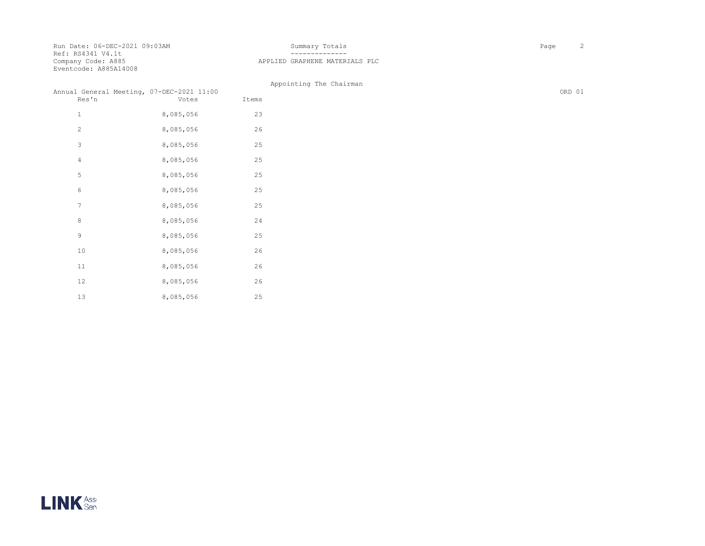Run Date: 06-DEC-2021 09:03AM Summary Totals Page 2 Ref: RS4341 V4.1t Company Code: A885<br>Eventcode: A885A14008

 10 8,085,056 26 11 8,085,056 26 12 8,085,056 26 13 8,085,056 25

# APPLIED GRAPHENE MATERIALS PLC

|                | Annual General Meeting, 07-DEC-2021 11:00 |       | Appointing The Chairman | ORD 01 |
|----------------|-------------------------------------------|-------|-------------------------|--------|
| Res'n          | Votes                                     | Items |                         |        |
| $\mathbf{1}$   | 8,085,056                                 | 23    |                         |        |
| 2              | 8,085,056                                 | 26    |                         |        |
| 3              | 8,085,056                                 | 25    |                         |        |
| $\overline{4}$ | 8,085,056                                 | 25    |                         |        |
| 5              | 8,085,056                                 | 25    |                         |        |
| 6              | 8,085,056                                 | 25    |                         |        |
| $\overline{7}$ | 8,085,056                                 | 25    |                         |        |
| 8              | 8,085,056                                 | 24    |                         |        |
| 9              | 8,085,056                                 | 25    |                         |        |

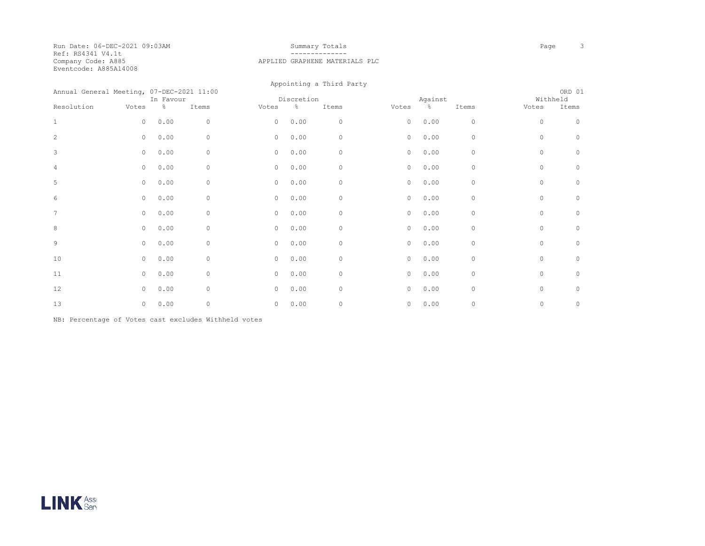Run Date: 06-DEC-2021 09:03AM Summary Totals Page 3 Ref: RS4341 V4.1t<br>Company Code: A885 Eventcode: A885A14008

### APPLIED GRAPHENE MATERIALS PLC

 Appointing a Third Party Annual General Meeting, 07-DEC-2021 11:00 CRD 01<br>
The Favour Contraction Discretion Mitheld Against Mithheld Mithheld In Favour **Discretion Billich Against** Against Mithheld Resolution Votes % Items Votes % Items Votes % Items Votes Items 1 0 0.00 0 0 0.00 0 0 0.00 0 0 0 2 0 0.00 0 0 0.00 0 0 0.00 0 0 0 3 0 0.00 0 0 0.00 0 0 0.00 0 0 0 4 0 0.00 0 0 0.00 0 0 0.00 0 0 0 5 0 0.00 0 0 0.00 0 0 0.00 0 0 0 6 0 0.00 0 0 0.00 0 0 0.00 0 0 0 7 0 0.00 0 0 0.00 0 0 0.00 0 0 0 8 0 0.00 0 0 0.00 0 0 0.00 0 0 0 9 0 0.00 0 0 0.00 0 0 0.00 0 0 0 10 0 0.00 0 0 0.00 0 0 0.00 0 0 0 11 0 0.00 0 0 0.00 0 0 0.00 0 0 0 12 0 0.00 0 000 0 0.00 0 0.00 0 0.00 0 000 0 000 0 000 0 000 0 000 0 13 0 0.00 0 000 0 0.00 0 0.00 0 0.00 0 000 0 000 0 000 0 000 0 000 0

NB: Percentage of Votes cast excludes Withheld votes

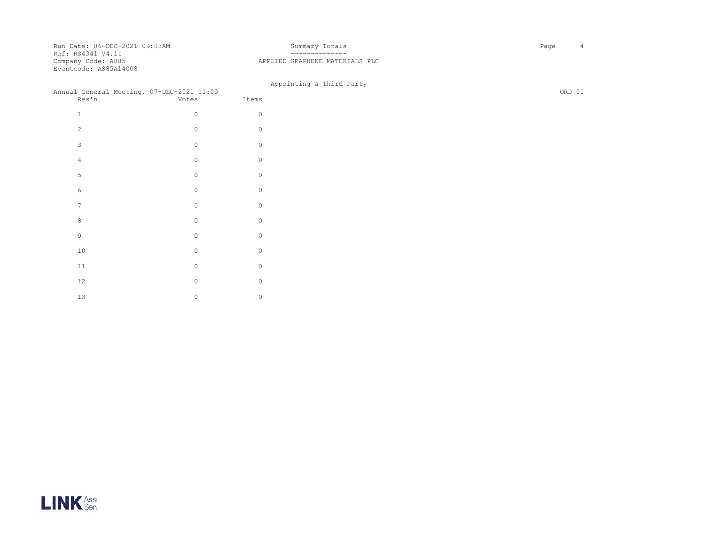Run Date: 06-DEC-2021 09:03AM Summary Totals Page 4 Ref: RS4341 V4.1t Company Code: A885<br>Eventcode: A885A14008

 $12$  0 0 13 0 0 0

# APPLIED GRAPHENE MATERIALS PLC

| Annual General Meeting, 07-DEC-2021 11:00<br>Res'n | Votes    | Items    | Appointing a Third Party |
|----------------------------------------------------|----------|----------|--------------------------|
| $\mathbf{1}$                                       | $\circ$  | $\Omega$ |                          |
| 2                                                  | $\circ$  | $\Omega$ |                          |
| 3                                                  | $\circ$  | $\Omega$ |                          |
| $\overline{4}$                                     | $\Omega$ | $\Omega$ |                          |
| 5                                                  | $\Omega$ | $\Omega$ |                          |
| 6                                                  | $\Omega$ | $\Omega$ |                          |
| $\overline{7}$                                     | $\Omega$ | $\Omega$ |                          |
| 8                                                  | $\Omega$ | $\Omega$ |                          |
| $\overline{9}$                                     | $\Omega$ | $\Omega$ |                          |
| 10                                                 | $\circ$  | $\circ$  |                          |
| $11\,$                                             | $\circ$  | $\circ$  |                          |

LINK<sup>ASSE</sup>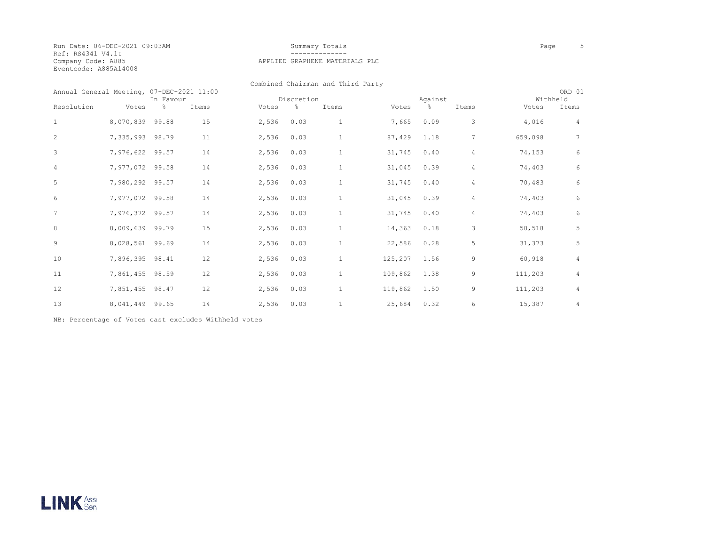Run Date: 06-DEC-2021 09:03AM Summary Totals Page 5 Ref: RS4341 V4.1t Company Code: A885<br>Eventcode: A885A14008

#### APPLIED GRAPHENE MATERIALS PLC

Combined Chairman and Third Party

| Annual General Meeting, 07-DEC-2021 11:00<br>In Favour |                 | Discretion |       |       | Against |              |         |      | ORD 01<br>Withheld |         |                |
|--------------------------------------------------------|-----------------|------------|-------|-------|---------|--------------|---------|------|--------------------|---------|----------------|
| Resolution                                             | Votes           | $\%$       | Items | Votes | $\%$    | Items        | Votes   | g.   | Items              | Votes   | Items          |
| $\mathbf{1}$                                           | 8,070,839       | 99.88      | 15    | 2,536 | 0.03    | $\mathbf{1}$ | 7,665   | 0.09 | 3                  | 4,016   | 4              |
| 2                                                      | 7,335,993       | 98.79      | 11    | 2,536 | 0.03    | $1\,$        | 87,429  | 1.18 | $\overline{7}$     | 659,098 | 7              |
| 3                                                      | 7,976,622 99.57 |            | 14    | 2,536 | 0.03    | $\mathbf{1}$ | 31,745  | 0.40 | $\overline{4}$     | 74,153  | 6              |
| 4                                                      | 7,977,072 99.58 |            | 14    | 2,536 | 0.03    | $\mathbf{1}$ | 31,045  | 0.39 | $\overline{4}$     | 74,403  | 6              |
| 5                                                      | 7,980,292 99.57 |            | 14    | 2,536 | 0.03    | $\mathbf{1}$ | 31,745  | 0.40 | $\overline{4}$     | 70,483  | 6              |
| 6                                                      | 7,977,072 99.58 |            | 14    | 2,536 | 0.03    | $\mathbf{1}$ | 31,045  | 0.39 | $\overline{4}$     | 74,403  | 6              |
| 7                                                      | 7,976,372 99.57 |            | 14    | 2,536 | 0.03    | $\mathbf{1}$ | 31,745  | 0.40 | $\overline{4}$     | 74,403  | 6              |
| 8                                                      | 8,009,639 99.79 |            | 15    | 2,536 | 0.03    | $\mathbf{1}$ | 14,363  | 0.18 | 3                  | 58,518  | 5              |
| 9                                                      | 8,028,561       | 99.69      | 14    | 2,536 | 0.03    | $\mathbf{1}$ | 22,586  | 0.28 | 5                  | 31,373  | 5              |
| 10                                                     | 7,896,395 98.41 |            | 12    | 2,536 | 0.03    | $\mathbf{1}$ | 125,207 | 1.56 | 9                  | 60,918  | $\overline{4}$ |
| 11                                                     | 7,861,455 98.59 |            | 12    | 2,536 | 0.03    | $\mathbf{1}$ | 109,862 | 1.38 | 9                  | 111,203 | $\overline{4}$ |
| 12                                                     | 7,851,455       | 98.47      | 12    | 2,536 | 0.03    | $\mathbf{1}$ | 119,862 | 1.50 | 9                  | 111,203 | 4              |
| 13                                                     | 8,041,449       | 99.65      | 14    | 2,536 | 0.03    |              | 25,684  | 0.32 | 6                  | 15,387  | 4              |

NB: Percentage of Votes cast excludes Withheld votes